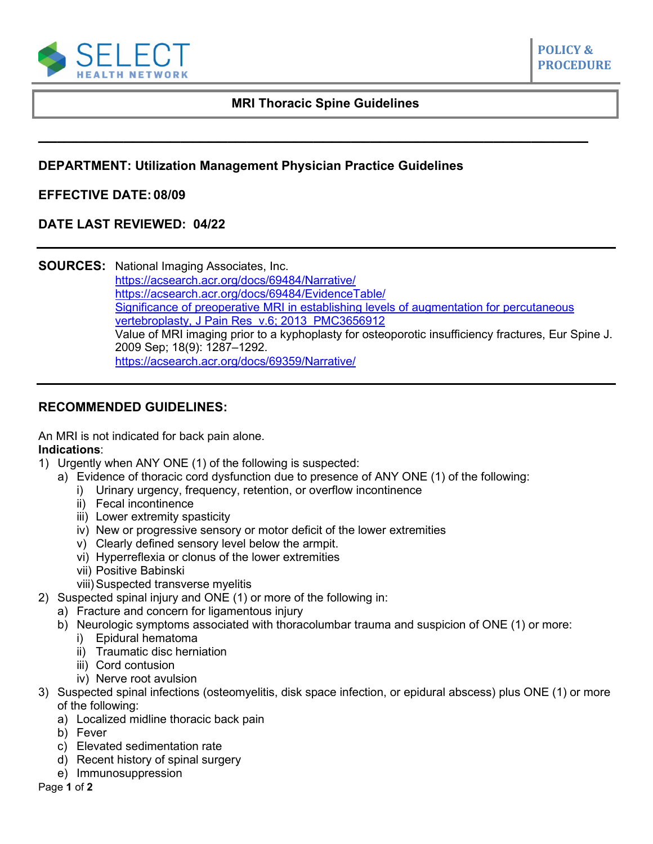

**POLICY &** 

## **MRI Thoracic Spine Guidelines**

**\_\_\_\_\_\_\_\_\_\_\_\_\_\_\_\_\_\_\_\_\_\_\_\_\_\_\_\_\_\_\_\_\_\_\_\_\_\_\_\_\_\_\_\_\_\_\_\_\_\_\_\_\_\_\_\_\_\_**

# **DEPARTMENT: Utilization Management Physician Practice Guidelines**

### **EFFECTIVE DATE: 08/09**

### **DATE LAST REVIEWED: 04/22**

**SOURCES:** National Imaging Associates, Inc. <https://acsearch.acr.org/docs/69484/Narrative/> [https://acsearch.acr.org/docs/69484/EvidenceTable/](https://acsearch.acr.org/list/GetEvidence?TopicId=142&TopicName=Myelopathy) [Significance of preoperative MRI in](https://www.ncbi.nlm.nih.gov/pmc/issues/217801/) establishing levels of augmentation for percutaneous [vertebroplasty, J Pain Res v.6; 2013 PMC3656912](https://www.ncbi.nlm.nih.gov/pmc/issues/217801/) Value of MRI imaging prior to a kyphoplasty for osteoporotic insufficiency fractures, Eur Spine J. 2009 Sep; 18(9): 1287–1292. <https://acsearch.acr.org/docs/69359/Narrative/>

### **RECOMMENDED GUIDELINES:**

An MRI is not indicated for back pain alone.

#### **Indications**:

- 1) Urgently when ANY ONE (1) of the following is suspected:
	- a) Evidence of thoracic cord dysfunction due to presence of ANY ONE (1) of the following:
		- i) Urinary urgency, frequency, retention, or overflow incontinence
		- ii) Fecal incontinence
		- iii) Lower extremity spasticity
		- iv) New or progressive sensory or motor deficit of the lower extremities
		- v) Clearly defined sensory level below the armpit.
		- vi) Hyperreflexia or clonus of the lower extremities
		- vii) Positive Babinski
		- viii) Suspected transverse myelitis
- 2) Suspected spinal injury and ONE (1) or more of the following in:
	- a) Fracture and concern for ligamentous injury
	- b) Neurologic symptoms associated with thoracolumbar trauma and suspicion of ONE (1) or more:
		- i) Epidural hematoma
		- ii) Traumatic disc herniation
		- iii) Cord contusion
		- iv) Nerve root avulsion
- 3) Suspected spinal infections (osteomyelitis, disk space infection, or epidural abscess) plus ONE (1) or more of the following:
	- a) Localized midline thoracic back pain
	- b) Fever
	- c) Elevated sedimentation rate
	- d) Recent history of spinal surgery
	- e) Immunosuppression
- Page **1** of **2**